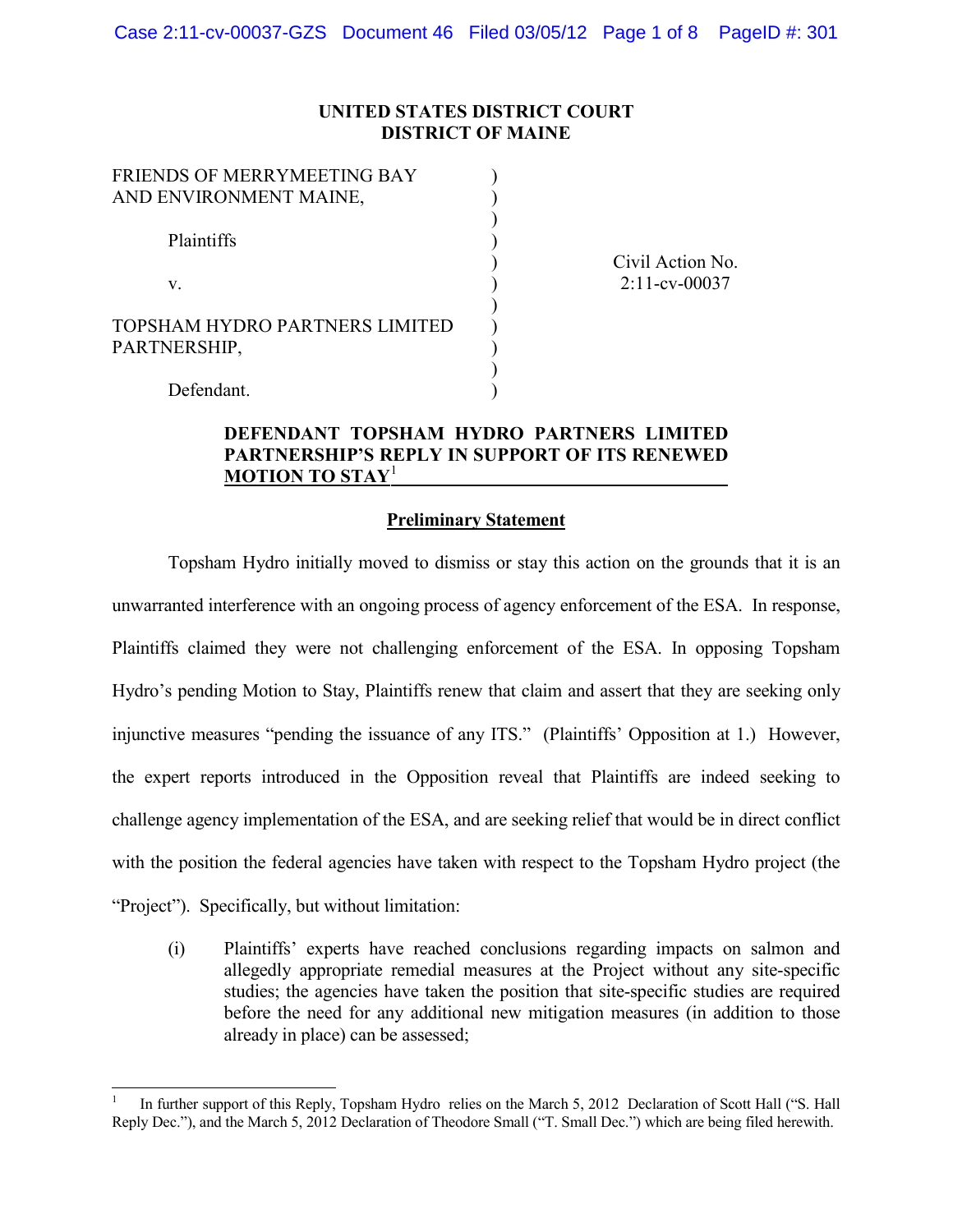## **UNITED STATES DISTRICT COURT DISTRICT OF MAINE**

)  $\mathcal{L}$ ) ) ) ) ) ) ) ) )

| FRIENDS OF MERRYMEETING BAY<br>AND ENVIRONMENT MAINE, |  |  |
|-------------------------------------------------------|--|--|
| Plaintiffs                                            |  |  |
| V                                                     |  |  |
| TOPSHAM HYDRO PARTNERS LIMITED<br>PARTNERSHIP,        |  |  |

Defendant.

Civil Action No. 2:11-cv-00037

## **DEFENDANT TOPSHAM HYDRO PARTNERS LIMITED PARTNERSHIP'S REPLY IN SUPPORT OF ITS RENEWED MOTION TO STAY**<sup>1</sup>

#### **Preliminary Statement**

Topsham Hydro initially moved to dismiss or stay this action on the grounds that it is an unwarranted interference with an ongoing process of agency enforcement of the ESA. In response, Plaintiffs claimed they were not challenging enforcement of the ESA. In opposing Topsham Hydro's pending Motion to Stay, Plaintiffs renew that claim and assert that they are seeking only injunctive measures "pending the issuance of any ITS." (Plaintiffs' Opposition at 1.) However, the expert reports introduced in the Opposition reveal that Plaintiffs are indeed seeking to challenge agency implementation of the ESA, and are seeking relief that would be in direct conflict with the position the federal agencies have taken with respect to the Topsham Hydro project (the "Project"). Specifically, but without limitation:

(i) Plaintiffs' experts have reached conclusions regarding impacts on salmon and allegedly appropriate remedial measures at the Project without any site-specific studies; the agencies have taken the position that site-specific studies are required before the need for any additional new mitigation measures (in addition to those already in place) can be assessed;

In further support of this Reply, Topsham Hydro relies on the March 5, 2012 Declaration of Scott Hall ("S. Hall Reply Dec."), and the March 5, 2012 Declaration of Theodore Small ("T. Small Dec.") which are being filed herewith.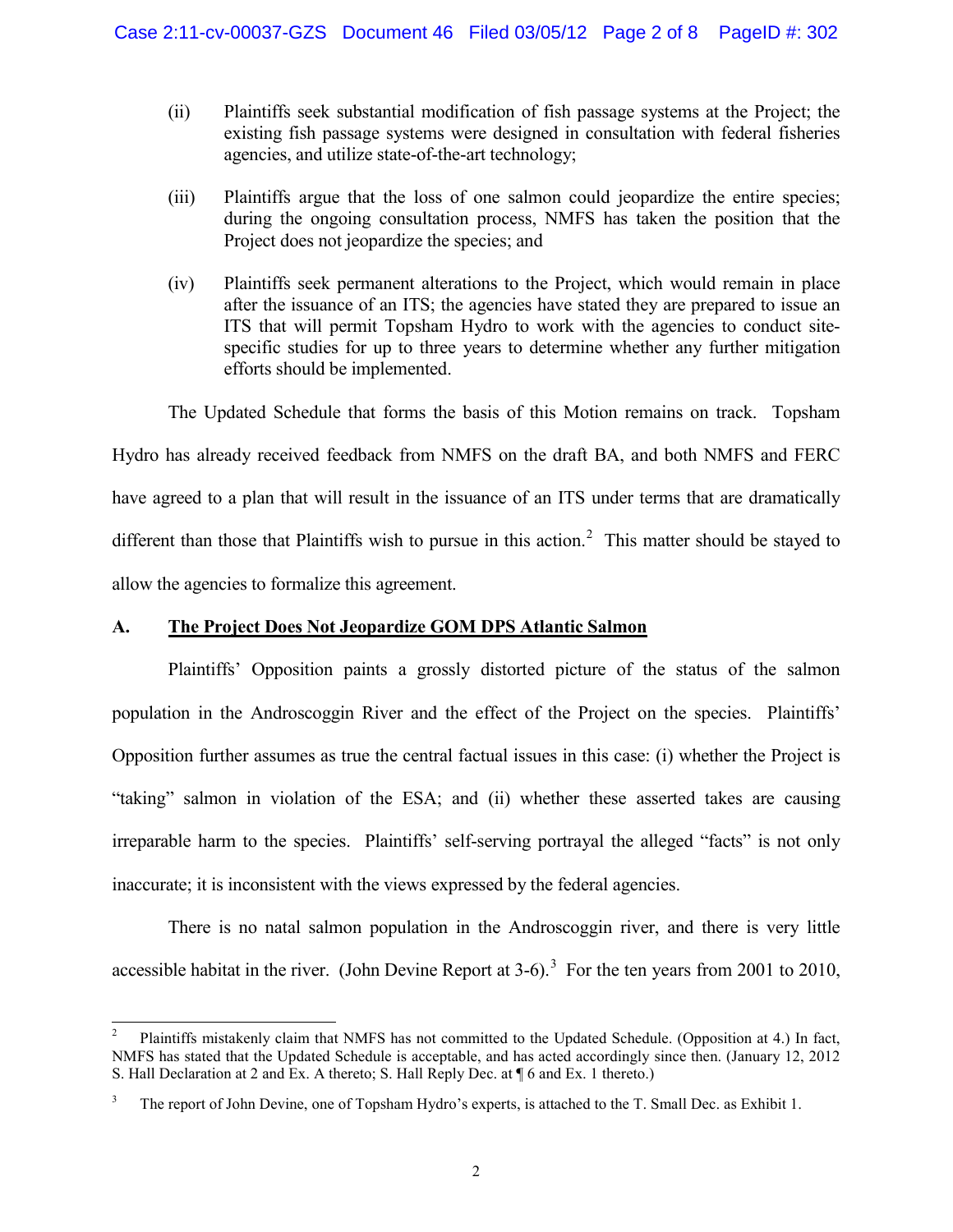- (ii) Plaintiffs seek substantial modification of fish passage systems at the Project; the existing fish passage systems were designed in consultation with federal fisheries agencies, and utilize state-of-the-art technology;
- (iii) Plaintiffs argue that the loss of one salmon could jeopardize the entire species; during the ongoing consultation process, NMFS has taken the position that the Project does not jeopardize the species; and
- (iv) Plaintiffs seek permanent alterations to the Project, which would remain in place after the issuance of an ITS; the agencies have stated they are prepared to issue an ITS that will permit Topsham Hydro to work with the agencies to conduct sitespecific studies for up to three years to determine whether any further mitigation efforts should be implemented.

The Updated Schedule that forms the basis of this Motion remains on track. Topsham Hydro has already received feedback from NMFS on the draft BA, and both NMFS and FERC have agreed to a plan that will result in the issuance of an ITS under terms that are dramatically different than those that Plaintiffs wish to pursue in this action.<sup>2</sup> This matter should be stayed to allow the agencies to formalize this agreement.

# **A. The Project Does Not Jeopardize GOM DPS Atlantic Salmon**

Plaintiffs' Opposition paints a grossly distorted picture of the status of the salmon population in the Androscoggin River and the effect of the Project on the species. Plaintiffs' Opposition further assumes as true the central factual issues in this case: (i) whether the Project is "taking" salmon in violation of the ESA; and (ii) whether these asserted takes are causing irreparable harm to the species. Plaintiffs' self-serving portrayal the alleged "facts" is not only inaccurate; it is inconsistent with the views expressed by the federal agencies.

There is no natal salmon population in the Androscoggin river, and there is very little accessible habitat in the river. (John Devine Report at  $3-6$ ).<sup>3</sup> For the ten years from 2001 to 2010,

<sup>&</sup>lt;sup>2</sup> Plaintiffs mistakenly claim that NMFS has not committed to the Updated Schedule. (Opposition at 4.) In fact, NMFS has stated that the Updated Schedule is acceptable, and has acted accordingly since then. (January 12, 2012 S. Hall Declaration at 2 and Ex. A thereto; S. Hall Reply Dec. at ¶ 6 and Ex. 1 thereto.)

The report of John Devine, one of Topsham Hydro's experts, is attached to the T. Small Dec. as Exhibit 1.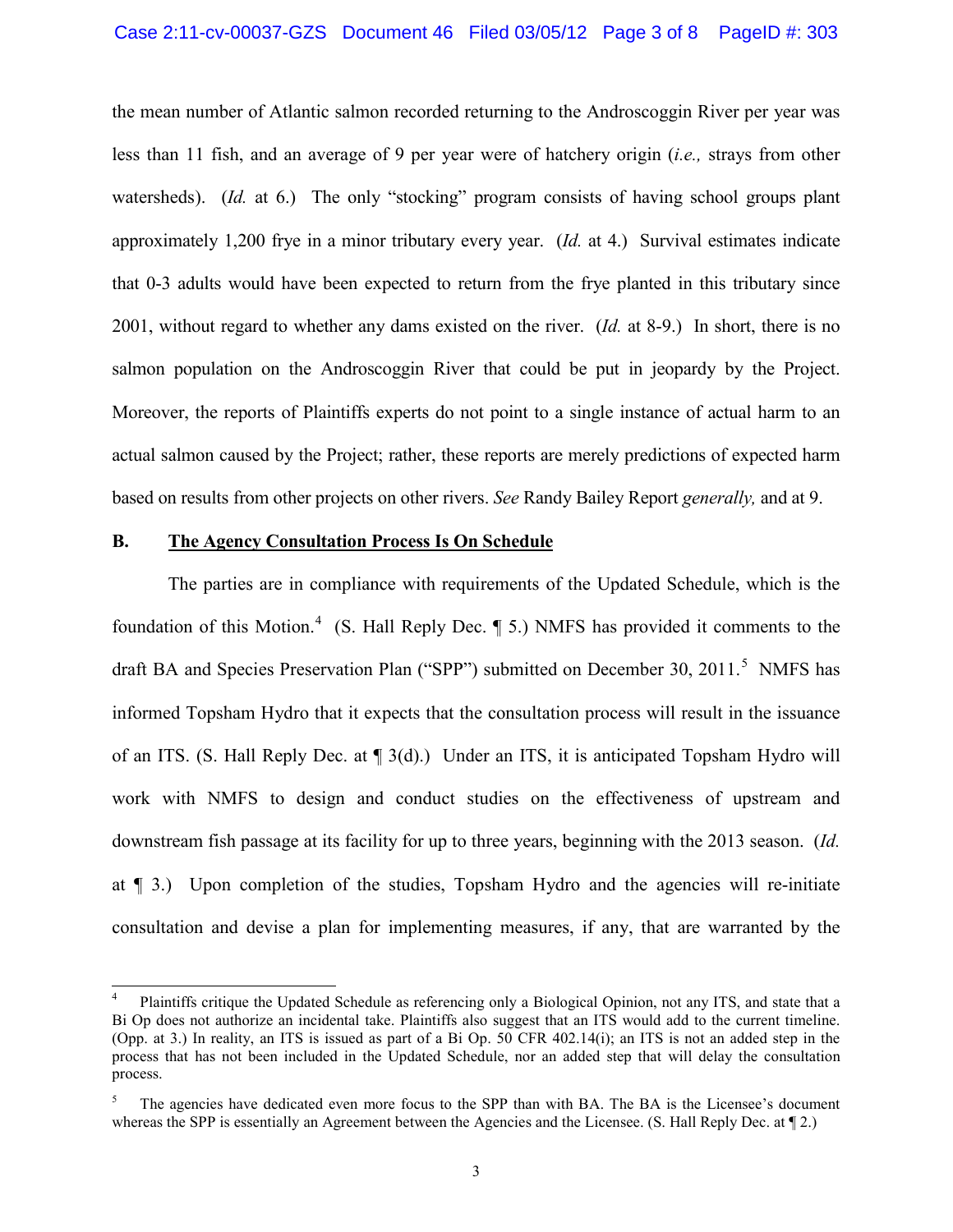the mean number of Atlantic salmon recorded returning to the Androscoggin River per year was less than 11 fish, and an average of 9 per year were of hatchery origin (*i.e.,* strays from other watersheds). (*Id.* at 6.) The only "stocking" program consists of having school groups plant approximately 1,200 frye in a minor tributary every year. (*Id.* at 4.) Survival estimates indicate that 0-3 adults would have been expected to return from the frye planted in this tributary since 2001, without regard to whether any dams existed on the river. (*Id.* at 8-9.) In short, there is no salmon population on the Androscoggin River that could be put in jeopardy by the Project. Moreover, the reports of Plaintiffs experts do not point to a single instance of actual harm to an actual salmon caused by the Project; rather, these reports are merely predictions of expected harm based on results from other projects on other rivers. *See* Randy Bailey Report *generally,* and at 9.

### **B. The Agency Consultation Process Is On Schedule**

The parties are in compliance with requirements of the Updated Schedule, which is the foundation of this Motion.<sup>4</sup> (S. Hall Reply Dec.  $\P$  5.) NMFS has provided it comments to the draft BA and Species Preservation Plan ("SPP") submitted on December 30, 2011.<sup>5</sup> NMFS has informed Topsham Hydro that it expects that the consultation process will result in the issuance of an ITS. (S. Hall Reply Dec. at ¶ 3(d).) Under an ITS, it is anticipated Topsham Hydro will work with NMFS to design and conduct studies on the effectiveness of upstream and downstream fish passage at its facility for up to three years, beginning with the 2013 season. (*Id.*  at ¶ 3.) Upon completion of the studies, Topsham Hydro and the agencies will re-initiate consultation and devise a plan for implementing measures, if any, that are warranted by the

 <sup>4</sup> Plaintiffs critique the Updated Schedule as referencing only a Biological Opinion, not any ITS, and state that a Bi Op does not authorize an incidental take. Plaintiffs also suggest that an ITS would add to the current timeline. (Opp. at 3.) In reality, an ITS is issued as part of a Bi Op. 50 CFR 402.14(i); an ITS is not an added step in the process that has not been included in the Updated Schedule, nor an added step that will delay the consultation process.

The agencies have dedicated even more focus to the SPP than with BA. The BA is the Licensee's document whereas the SPP is essentially an Agreement between the Agencies and the Licensee. (S. Hall Reply Dec. at  $\llbracket 2$ .)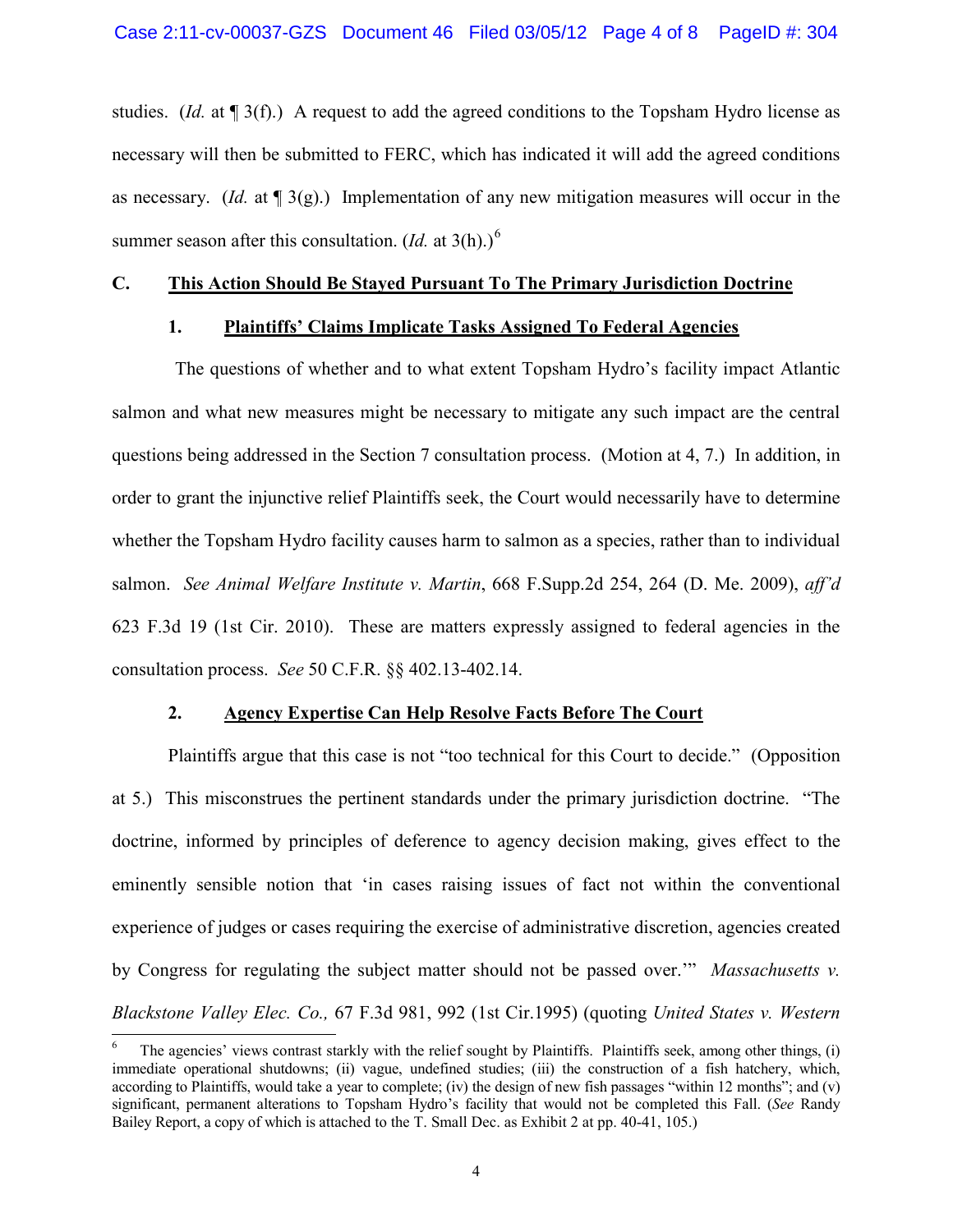studies. (*Id.* at ¶ 3(f).) A request to add the agreed conditions to the Topsham Hydro license as necessary will then be submitted to FERC, which has indicated it will add the agreed conditions as necessary. (*Id.* at ¶ 3(g).) Implementation of any new mitigation measures will occur in the summer season after this consultation.  $(Id.$  at  $3(h).$ <sup>6</sup>

#### **C. This Action Should Be Stayed Pursuant To The Primary Jurisdiction Doctrine**

### **1. Plaintiffs' Claims Implicate Tasks Assigned To Federal Agencies**

The questions of whether and to what extent Topsham Hydro's facility impact Atlantic salmon and what new measures might be necessary to mitigate any such impact are the central questions being addressed in the Section 7 consultation process. (Motion at 4, 7.) In addition, in order to grant the injunctive relief Plaintiffs seek, the Court would necessarily have to determine whether the Topsham Hydro facility causes harm to salmon as a species, rather than to individual salmon. *See Animal Welfare Institute v. Martin*, 668 F.Supp.2d 254, 264 (D. Me. 2009), *aff'd* 623 F.3d 19 (1st Cir. 2010). These are matters expressly assigned to federal agencies in the consultation process. *See* 50 C.F.R. §§ 402.13-402.14.

## **2. Agency Expertise Can Help Resolve Facts Before The Court**

Plaintiffs argue that this case is not "too technical for this Court to decide." (Opposition at 5.) This misconstrues the pertinent standards under the primary jurisdiction doctrine. "The doctrine, informed by principles of deference to agency decision making, gives effect to the eminently sensible notion that 'in cases raising issues of fact not within the conventional experience of judges or cases requiring the exercise of administrative discretion, agencies created by Congress for regulating the subject matter should not be passed over.'" *Massachusetts v. Blackstone Valley Elec. Co.,* 67 F.3d 981, 992 (1st Cir.1995) (quoting *United States v. Western* 

 <sup>6</sup> The agencies' views contrast starkly with the relief sought by Plaintiffs. Plaintiffs seek, among other things, (i) immediate operational shutdowns; (ii) vague, undefined studies; (iii) the construction of a fish hatchery, which, according to Plaintiffs, would take a year to complete; (iv) the design of new fish passages "within 12 months"; and (v) significant, permanent alterations to Topsham Hydro's facility that would not be completed this Fall. (*See* Randy Bailey Report, a copy of which is attached to the T. Small Dec. as Exhibit 2 at pp. 40-41, 105.)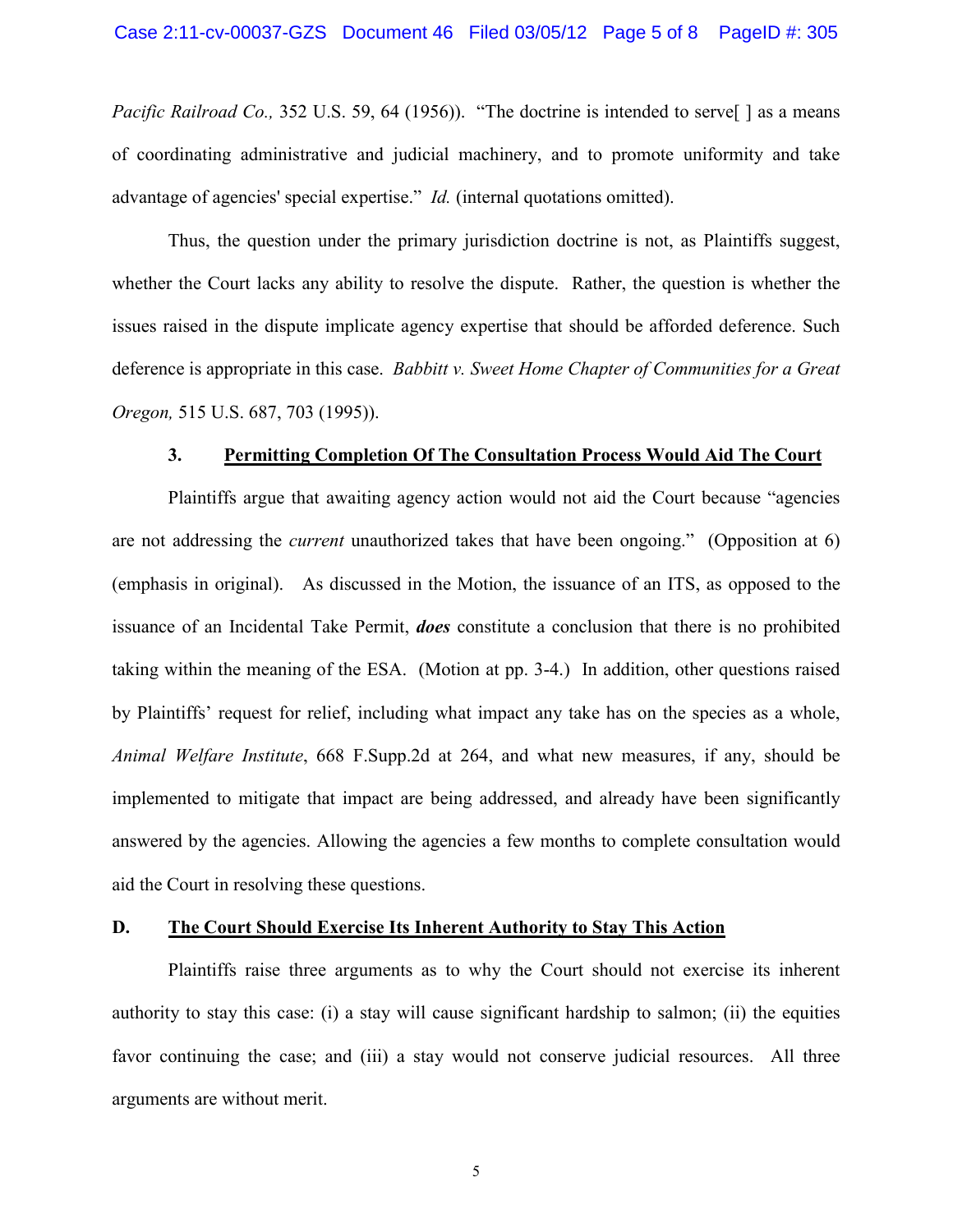*Pacific Railroad Co.,* 352 U.S. 59, 64 (1956)). "The doctrine is intended to serve<sup>[]</sup> as a means of coordinating administrative and judicial machinery, and to promote uniformity and take advantage of agencies' special expertise." *Id.* (internal quotations omitted).

Thus, the question under the primary jurisdiction doctrine is not, as Plaintiffs suggest, whether the Court lacks any ability to resolve the dispute. Rather, the question is whether the issues raised in the dispute implicate agency expertise that should be afforded deference. Such deference is appropriate in this case. *Babbitt v. Sweet Home Chapter of Communities for a Great Oregon,* 515 U.S. 687, 703 (1995)).

#### **3. Permitting Completion Of The Consultation Process Would Aid The Court**

Plaintiffs argue that awaiting agency action would not aid the Court because "agencies are not addressing the *current* unauthorized takes that have been ongoing." (Opposition at 6) (emphasis in original). As discussed in the Motion, the issuance of an ITS, as opposed to the issuance of an Incidental Take Permit, *does* constitute a conclusion that there is no prohibited taking within the meaning of the ESA. (Motion at pp. 3-4.) In addition, other questions raised by Plaintiffs' request for relief, including what impact any take has on the species as a whole, *Animal Welfare Institute*, 668 F.Supp.2d at 264, and what new measures, if any, should be implemented to mitigate that impact are being addressed, and already have been significantly answered by the agencies. Allowing the agencies a few months to complete consultation would aid the Court in resolving these questions.

### **D. The Court Should Exercise Its Inherent Authority to Stay This Action**

Plaintiffs raise three arguments as to why the Court should not exercise its inherent authority to stay this case: (i) a stay will cause significant hardship to salmon; (ii) the equities favor continuing the case; and (iii) a stay would not conserve judicial resources. All three arguments are without merit.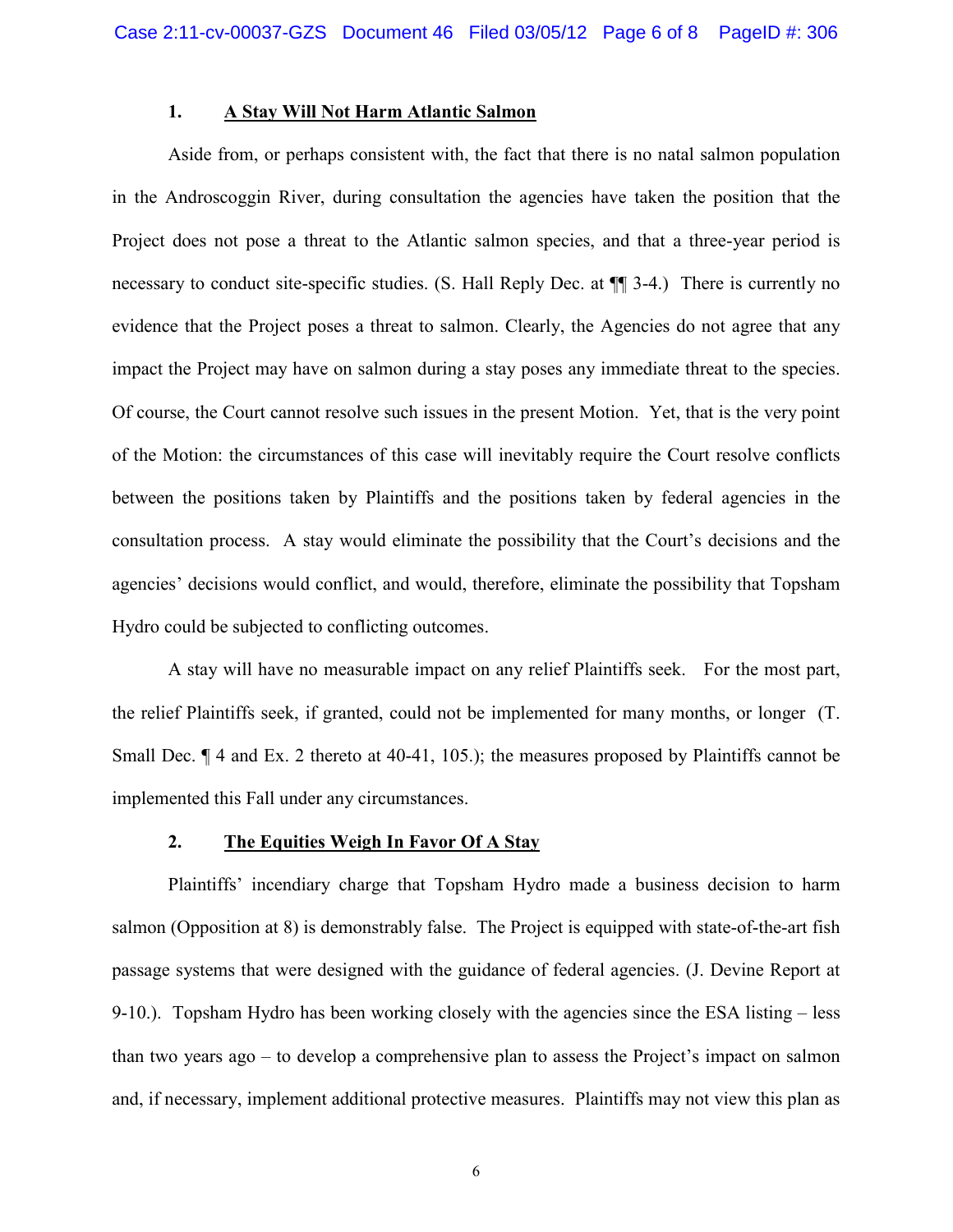## **1. A Stay Will Not Harm Atlantic Salmon**

Aside from, or perhaps consistent with, the fact that there is no natal salmon population in the Androscoggin River, during consultation the agencies have taken the position that the Project does not pose a threat to the Atlantic salmon species, and that a three-year period is necessary to conduct site-specific studies. (S. Hall Reply Dec. at ¶¶ 3-4.) There is currently no evidence that the Project poses a threat to salmon. Clearly, the Agencies do not agree that any impact the Project may have on salmon during a stay poses any immediate threat to the species. Of course, the Court cannot resolve such issues in the present Motion. Yet, that is the very point of the Motion: the circumstances of this case will inevitably require the Court resolve conflicts between the positions taken by Plaintiffs and the positions taken by federal agencies in the consultation process. A stay would eliminate the possibility that the Court's decisions and the agencies' decisions would conflict, and would, therefore, eliminate the possibility that Topsham Hydro could be subjected to conflicting outcomes.

A stay will have no measurable impact on any relief Plaintiffs seek. For the most part, the relief Plaintiffs seek, if granted, could not be implemented for many months, or longer (T. Small Dec.  $\P$  4 and Ex. 2 thereto at 40-41, 105.); the measures proposed by Plaintiffs cannot be implemented this Fall under any circumstances.

#### **2. The Equities Weigh In Favor Of A Stay**

Plaintiffs' incendiary charge that Topsham Hydro made a business decision to harm salmon (Opposition at 8) is demonstrably false. The Project is equipped with state-of-the-art fish passage systems that were designed with the guidance of federal agencies. (J. Devine Report at 9-10.). Topsham Hydro has been working closely with the agencies since the ESA listing – less than two years ago – to develop a comprehensive plan to assess the Project's impact on salmon and, if necessary, implement additional protective measures. Plaintiffs may not view this plan as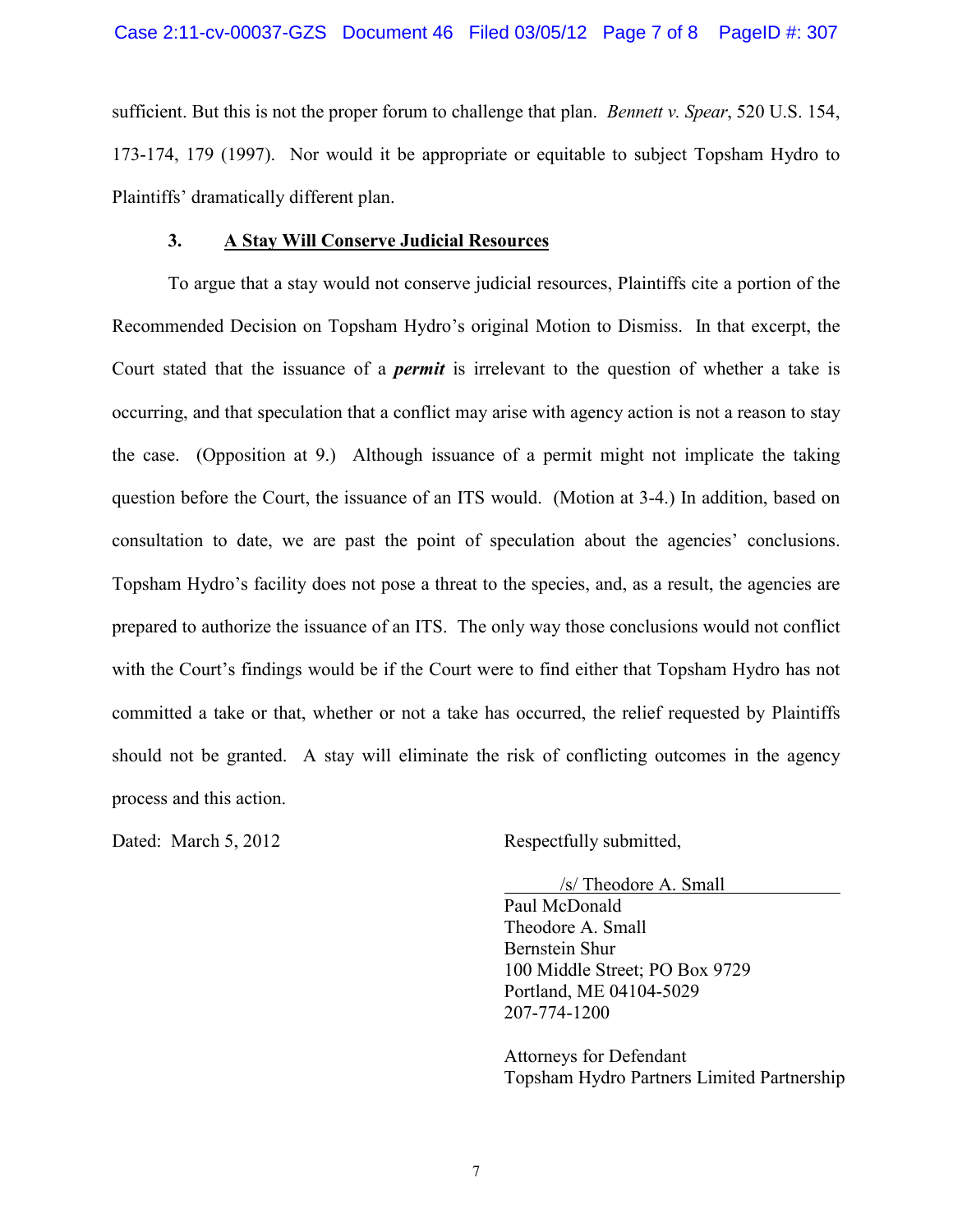sufficient. But this is not the proper forum to challenge that plan. *Bennett v. Spear*, 520 U.S. 154, 173-174, 179 (1997). Nor would it be appropriate or equitable to subject Topsham Hydro to Plaintiffs' dramatically different plan.

## **3. A Stay Will Conserve Judicial Resources**

To argue that a stay would not conserve judicial resources, Plaintiffs cite a portion of the Recommended Decision on Topsham Hydro's original Motion to Dismiss. In that excerpt, the Court stated that the issuance of a *permit* is irrelevant to the question of whether a take is occurring, and that speculation that a conflict may arise with agency action is not a reason to stay the case. (Opposition at 9.) Although issuance of a permit might not implicate the taking question before the Court, the issuance of an ITS would. (Motion at 3-4.) In addition, based on consultation to date, we are past the point of speculation about the agencies' conclusions. Topsham Hydro's facility does not pose a threat to the species, and, as a result, the agencies are prepared to authorize the issuance of an ITS. The only way those conclusions would not conflict with the Court's findings would be if the Court were to find either that Topsham Hydro has not committed a take or that, whether or not a take has occurred, the relief requested by Plaintiffs should not be granted. A stay will eliminate the risk of conflicting outcomes in the agency process and this action.

Dated: March 5, 2012 Respectfully submitted,

/s/ Theodore A. Small

Paul McDonald Theodore A. Small Bernstein Shur 100 Middle Street; PO Box 9729 Portland, ME 04104-5029 207-774-1200

Attorneys for Defendant Topsham Hydro Partners Limited Partnership